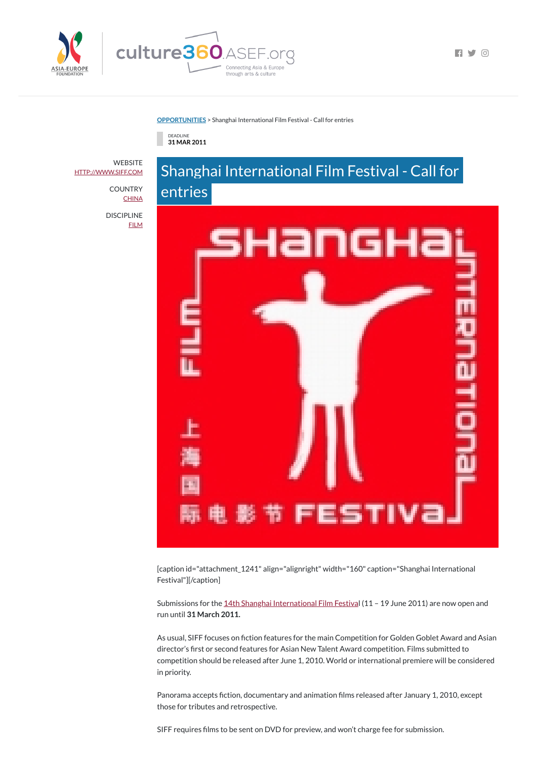

**[OPPORTUNITIES](https://culture360.asef.org/opportunities/)** > Shanghai International Film Festival - Call for entries

DEADLINE **31 MAR 2011**



Submissions for the 14th Shanghai [International](http://www.siff.com/MovieEn/Default.aspx) Film Festival (11 - 19 June 2011) are now open and run until **31 March 2011.**

[caption id="attachment\_1241" align="alignright" width="160" caption="Shanghai International

 $\blacksquare$ 

Festival"][/caption]

As usual, SIFF focuses on fiction features for the main Competition for Golden Goblet Award and Asian director's first or second features for Asian New Talent Award competition. Films submitted to competition should be released after June 1, 2010. World or international premiere will be considered in priority.

Panorama accepts fiction, documentary and animation films released after January 1, 2010, except those for tributes and retrospective.

SIFF requires films to be sent on DVD for preview, and won't charge fee for submission.

**WEBSITE** [HTTP://WWW.SIFF.COM](http://www.siff.com/)

> **COUNTRY [CHINA](https://culture360.asef.org/countries/china/)**

DISCIPLINE **[FILM](https://culture360.asef.org/disciplines/film/)**